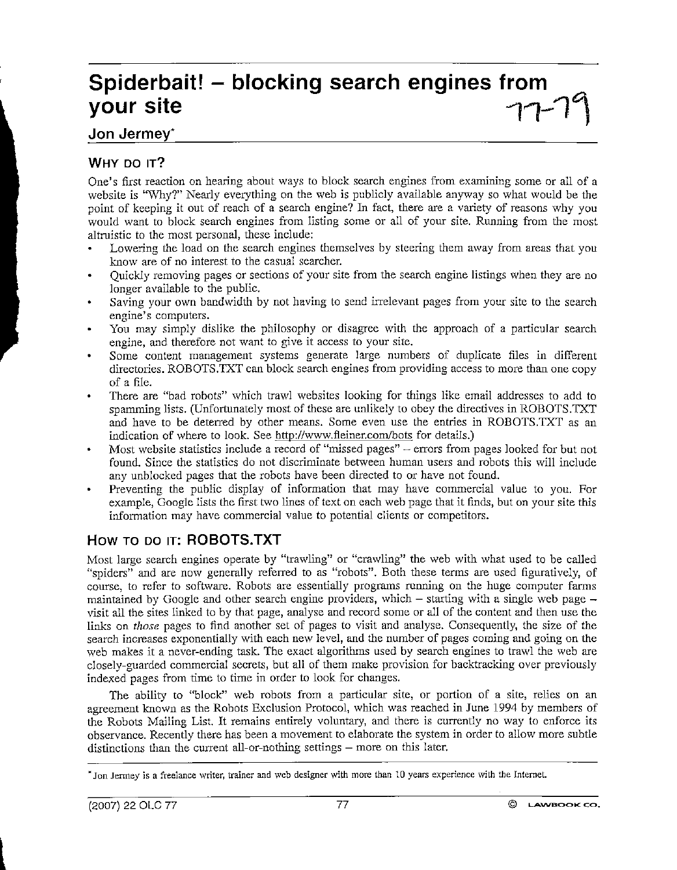# **Spiderbait! - blocking search engines from**   $\frac{1}{2}$  your site  $\frac{1}{2}$   $\frac{1}{2}$   $\frac{1}{2}$

## Jon Jermey·

## WHY DO IT?

One's first reaction on hearing about ways to block search engines from examining some or all of a website is "Why?" Nearly everything on the web is publicly available anyway so what would be the point of keeping it out of reach of a search engine? In fact, there are a variety of reasons why you would want to block search engines from listing some or all of your site. Running from the most altruistic to the most personal, these include:

- Lowering the load on the search engines themselves by steering them away from areas that you know are of no interest to the casual searcher.
- Quickly removing pages or sections of your site from the search engine listings when they are no longer available to the public.
- Saying your own bandwidth by not having to send irrelevant pages from your site to the search engine's computers.
- You may simply dislike the philosophy or disagree with the approach of a particular search engine, and therefore not want to give it access to your site.
- Some content management systems generate large numbers of duplicate files in different directories. ROBOTS.TXT can block search engines from providing access to more than one copy of a file.
- There are "bad robots" which trawl websites looking for things like email addresses to add to spamming lists. (Unfortunately most of these are unlikely to obey the directives in ROBOTS.TXT and have to be deterred by other means. Some even use the entries in ROBOTS.TXT as an indication of where to look. See http://www.fleiner.com/bots for details.)
- Most website statistics include a record of "missed pages" errors from pages looked for but not found. Since the statistics do not discriminate between human users and robots this will include any unblocked pages that the robots have been directed to or have not found.
- Preventing the public display of information that may have commercial value to you. For example, Google lists the first two lines of text on each web page that it finds, but on your site this information may have commercial value to potential clients or competitors.

### How TO DO IT: ROBOTS.TXT

Most large search engines operate by "trawling" or "crawling" the web with what used to be called "spiders" and are now generally referred to as "robots". Both these terms are used figuratively, of course, to refer to software. Robots are essentially programs running on the huge computer farms maintained by Google and other search engine providers, which  $-$  starting with a single web page  $$ visit all the sites linked to by that page, analyse and record some or all of the content and then use the links on *those* pages to find another set of pages to visit and analyse. Consequently, the size of the search increases exponentially with each new level, and the number of pages corning and going on the web makes it a never-ending task. The exact algorithms used by search engines to trawl the web are closely-guarded commercial secrets, but all of them make provision for backtracking over previously indexed pages from time to time in order to look for changes.

The ability to ''block" web robots from a particular site, or portion of a site, relies on an agreement known as the Robots Exclusion Protocol, which was reached in June 1994 by members of the Robots Mailing List. It remains entirely voluntary, and there is currently no way to enforce its observance. Recently there has been a movement to elaborate the system in order to allow more subtle distinctions than the current all-or-nothing settings – more on this later.

<sup>\*</sup>Jon Jenney is a freelance writer, trainer and web designer with more than 10 years experience with the Internet.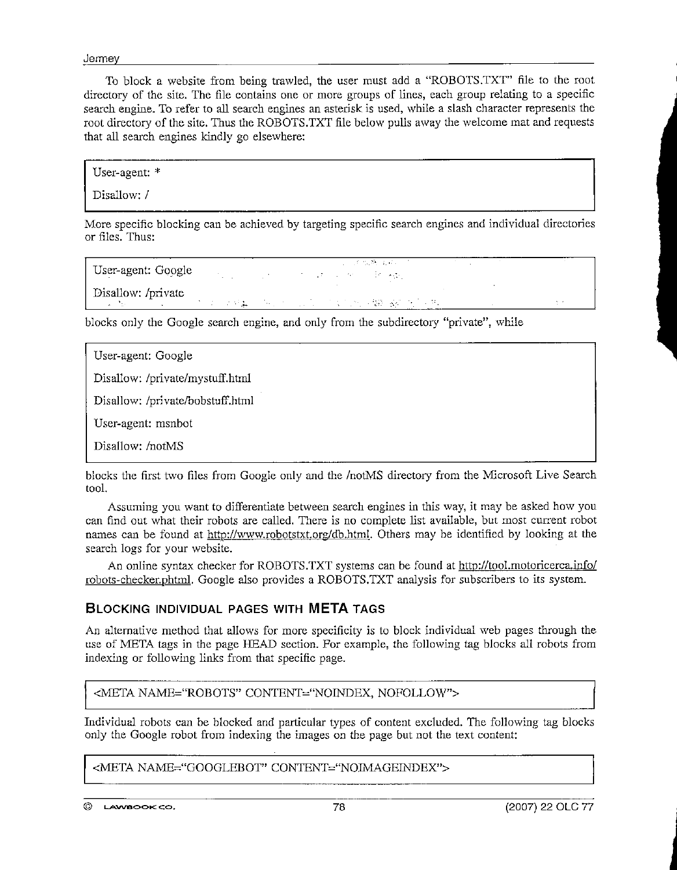**Jerme** 

To block a website from being trawled, the user must add a "ROBOTS.TXT" file to the root **directory of the site. The file contains one or more groups of lines, each group relating to a specific**  search engine. To refer to all search engines an asterisk is used, while a slash character represents the root directory of the site. Thus the ROBOTS.TXT file below pulls away the welcome mat and requests that all search engines kindly go elsewhere:

User-agent: \*

Disallow: /

**More specific blocking can be achieved by targeting specific search engines and individual directories**  or files. Thus:

医静脉炎 User-agent: Google  $\mathcal{F} = \mathcal{F} \cup \mathcal{F}$  $\{x_{i}\}$  ,  $\{x_{i}\}$  , Disallow: /private/ the most completely with the

blocks only the Google search engine, and only from the subdirectory "private", while

| User-agent: Google               |
|----------------------------------|
| Disallow: /private/mystuff.html  |
| Disallow: /private/bobstuff.html |
| User-agent: msnbot               |
| Disallow: /notMS                 |

blocks the first two files from Google only and the /notMS directory from the Microsoft Live Search tool.

**Assuming you want to differentiate between search engines in this \vay, it may be asked ho\v you can find out what their robots are called. There is no complete list available, but most current robot**  names can be found at http://www.robotstxt.org/db.html. Others may be identified by looking at the **search logs for your website.** 

An online syntax checker for ROBOTS.TXT systems can be found at http://tool.motoricerca.info/ robots-checker.phtml. Google also provides a ROBOTS.TXT analysis for subscribers to its system.

#### **BLOCKING INDIVIDUAL PAGES WITH META TAGS**

An alternative method that allows for more specificity is to block individual web pages through the use of META tags in the page HEAD section. For example, the following tag blocks all robots from indexing or following links from that specific page.

<META NAME="ROBOTS" CONTENT="NOINDEX, NOFOLLOW">

Individual robots can be blocked and particular types of content excluded. The following tag blocks **onJy the Google robot from indexing the images on the page but not the text content:** 

<META NAME="GOOGLEBOT" CONTENT="NOIMAGEINDEX">